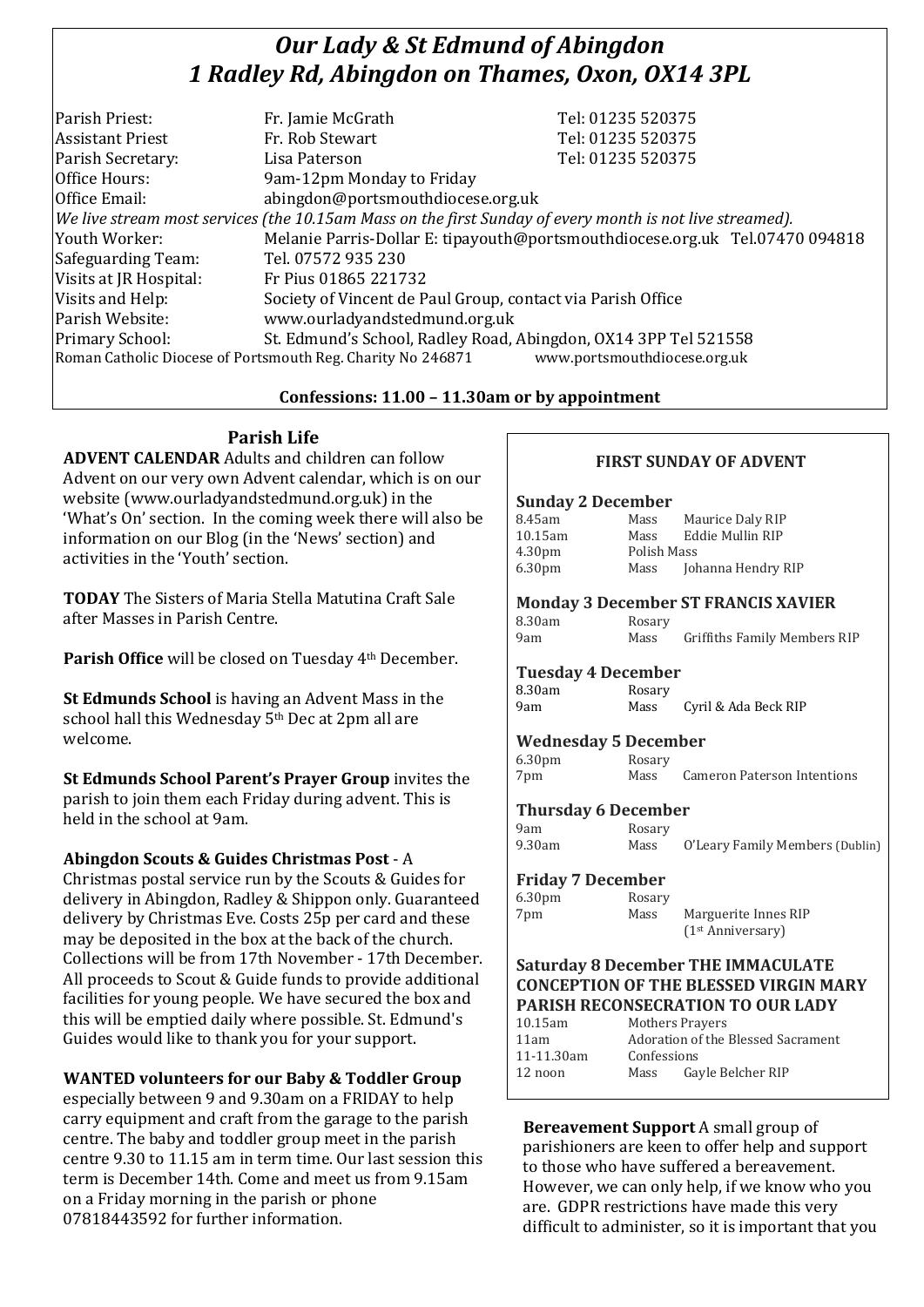# *Our Lady & St Edmund of Abingdon 1 Radley Rd, Abingdon on Thames, Oxon, OX14 3PL*

| Tel: 01235 520375                                                                                        |
|----------------------------------------------------------------------------------------------------------|
| Tel: 01235 520375                                                                                        |
| Tel: 01235 520375                                                                                        |
|                                                                                                          |
| abingdon@portsmouthdiocese.org.uk                                                                        |
| We live stream most services (the 10.15am Mass on the first Sunday of every month is not live streamed). |
| Melanie Parris-Dollar E: tipayouth@portsmouthdiocese.org.uk Tel.07470 094818                             |
|                                                                                                          |
|                                                                                                          |
| Society of Vincent de Paul Group, contact via Parish Office                                              |
|                                                                                                          |
| St. Edmund's School, Radley Road, Abingdon, OX14 3PP Tel 521558                                          |
| www.portsmouthdiocese.org.uk                                                                             |
|                                                                                                          |

# **Confessions: 11.00 – 11.30am or by appointment**

**Parish Life**

**ADVENT CALENDAR** Adults and children can follow Advent on our very own Advent calendar, which is on our website (www.ourladyandstedmund.org.uk) in the 'What's On' section. In the coming week there will also be information on our Blog (in the 'News' section) and activities in the 'Youth' section.

**TODAY** The Sisters of Maria Stella Matutina Craft Sale after Masses in Parish Centre.

**Parish Office** will be closed on Tuesday 4th December.

**St Edmunds School** is having an Advent Mass in the school hall this Wednesday 5<sup>th</sup> Dec at 2pm all are welcome.

**St Edmunds School Parent's Prayer Group** invites the parish to join them each Friday during advent. This is held in the school at 9am.

**Abingdon Scouts & Guides Christmas Post** - A

Christmas postal service run by the Scouts & Guides for delivery in Abingdon, Radley & Shippon only. Guaranteed delivery by Christmas Eve. Costs 25p per card and these may be deposited in the box at the back of the church. Collections will be from 17th November - 17th December. All proceeds to Scout & Guide funds to provide additional facilities for young people. We have secured the box and this will be emptied daily where possible. St. Edmund's Guides would like to thank you for your support.

### **WANTED volunteers for our Baby & Toddler Group**

especially between 9 and 9.30am on a FRIDAY to help carry equipment and craft from the garage to the parish centre. The baby and toddler group meet in the parish centre 9.30 to 11.15 am in term time. Our last session this term is December 14th. Come and meet us from 9.15am on a Friday morning in the parish or phone 07818443592 for further information.

# **FIRST SUNDAY OF ADVENT**

#### **Sunday 2 December**

| 8.45am             | Mass        | Maurice Daly RIP   |
|--------------------|-------------|--------------------|
| 10.15am            | Mass        | Eddie Mullin RIP   |
| 4.30 <sub>pm</sub> | Polish Mass |                    |
| 6.30 <sub>pm</sub> | Mass        | Johanna Hendry RIP |

#### **Monday 3 December ST FRANCIS XAVIER**

| 8.30am | Rosary |                              |
|--------|--------|------------------------------|
| 9am    | Mass   | Griffiths Family Members RIP |

#### **Tuesday 4 December**

| 8.30am | Rosary |                      |
|--------|--------|----------------------|
| 9am    | Mass   | Cyril & Ada Beck RIP |

### **Wednesday 5 December**

| 6.30 <sub>pm</sub> | Rosary |                             |
|--------------------|--------|-----------------------------|
| 7pm                | Mass   | Cameron Paterson Intentions |

### **Thursday 6 December**

| 9am    | Rosary |                                 |
|--------|--------|---------------------------------|
| 9.30am | Mass   | O'Leary Family Members (Dublin) |

### **Friday 7 December**

| 6.30 <sub>pm</sub> | Rosary |                               |
|--------------------|--------|-------------------------------|
| 7pm                | Mass   | Marguerite Innes RIP          |
|                    |        | (1 <sup>st</sup> Anniversary) |

#### **Saturday 8 December THE IMMACULATE CONCEPTION OF THE BLESSED VIRGIN MARY PARISH RECONSECRATION TO OUR LADY**

| $10.15$ am | Mothers Prayers                    |                   |
|------------|------------------------------------|-------------------|
| 11am       | Adoration of the Blessed Sacrament |                   |
| 11-11.30am | Confessions                        |                   |
| 12 noon    | Mass                               | Gayle Belcher RIP |
|            |                                    |                   |

**Bereavement Support** A small group of parishioners are keen to offer help and support to those who have suffered a bereavement. However, we can only help, if we know who you are. GDPR restrictions have made this very difficult to administer, so it is important that you